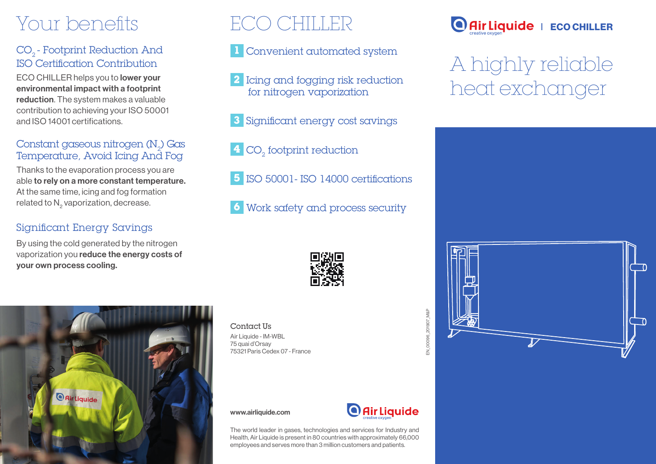# Your benefits

## CO<sub>2</sub> - Footprint Reduction And ISO Certification Contribution

ECO CHILLER helps you to lower your environmental impact with a footprint reduction. The system makes a valuable contribution to achieving your ISO 50001 and ISO 14001 certifications.

### Constant gaseous nitrogen (N<sub>2</sub>) Gas<br>-Temperature, Avoid Icing And Fog

Thanks to the evaporation process you are able to rely on a more constant temperature. At the same time, icing and fog formation related to N<sub>2</sub> vaporization, decrease.

### Significant Energy Savings

By using the cold generated by the nitrogen vaporization you reduce the energy costs of your own process cooling.

# ECO CHILLER

- **1** Convenient automated system
- **2** Icing and fogging risk reduction for nitrogen vaporization
- **3** Significant energy cost savings
- **4** CO<sub>2</sub> footprint reduction
- **5** ISO 50001- ISO 14000 certifications
- **6** Work safety and process security





Contact Us Air Liquide - IM-WBL 75 quai d'Orsay 75321 Paris Cedex 07 - France

www.airliquide.com



EN\_00096\_201907\_M&P

EN\_00096\_201907\_M&P

The world leader in gases, technologies and services for Industry and Health, Air Liquide is present in 80 countries with approximately 66,000 employees and serves more than 3 million customers and patients.



# A highly reliable heat exchanger